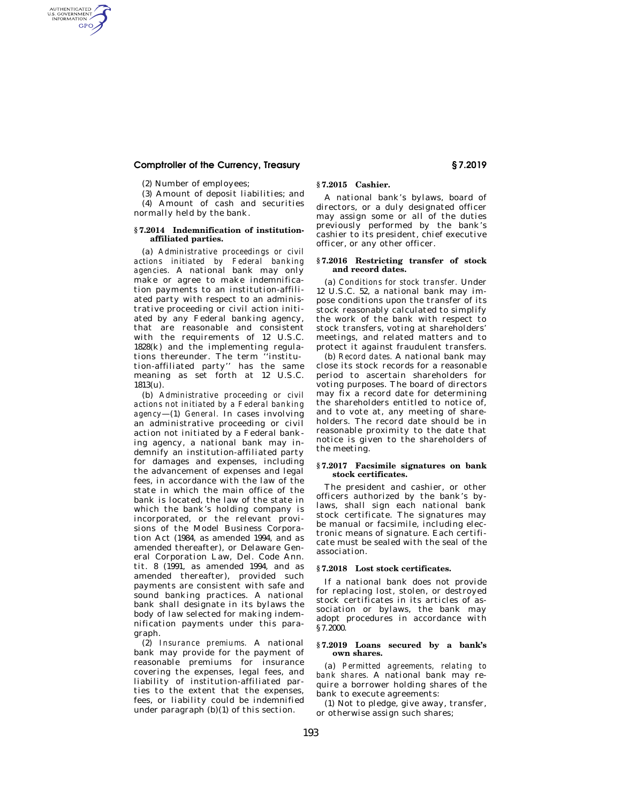# **Comptroller of the Currency, Treasury § 7.2019**

(2) Number of employees;

AUTHENTICATED<br>U.S. GOVERNMENT<br>INFORMATION GPO

(3) Amount of deposit liabilities; and

(4) Amount of cash and securities normally held by the bank.

# **§ 7.2014 Indemnification of institutionaffiliated parties.**

(a) *Administrative proceedings or civil actions initiated by Federal banking agencies.* A national bank may only make or agree to make indemnification payments to an institution-affiliated party with respect to an administrative proceeding or civil action initiated by any Federal banking agency, that are reasonable and consistent with the requirements of 12 U.S.C. 1828(k) and the implementing regulations thereunder. The term ''institution-affiliated party'' has the same meaning as set forth at 12 U.S.C. 1813(u).

(b) *Administrative proceeding or civil actions not initiated by a Federal banking agency*—(1) *General.* In cases involving an administrative proceeding or civil action not initiated by a Federal banking agency, a national bank may indemnify an institution-affiliated party for damages and expenses, including the advancement of expenses and legal fees, in accordance with the law of the state in which the main office of the bank is located, the law of the state in which the bank's holding company is incorporated, or the relevant provisions of the Model Business Corporation Act (1984, as amended 1994, and as amended thereafter), or Delaware General Corporation Law, Del. Code Ann. tit. 8 (1991, as amended 1994, and as amended thereafter), provided such payments are consistent with safe and sound banking practices. A national bank shall designate in its bylaws the body of law selected for making indemnification payments under this paragraph.

(2) *Insurance premiums.* A national bank may provide for the payment of reasonable premiums for insurance covering the expenses, legal fees, and liability of institution-affiliated parties to the extent that the expenses, fees, or liability could be indemnified under paragraph (b)(1) of this section.

# **§ 7.2015 Cashier.**

A national bank's bylaws, board of directors, or a duly designated officer may assign some or all of the duties previously performed by the bank's cashier to its president, chief executive officer, or any other officer.

## **§ 7.2016 Restricting transfer of stock and record dates.**

(a) *Conditions for stock transfer.* Under 12 U.S.C. 52, a national bank may impose conditions upon the transfer of its stock reasonably calculated to simplify the work of the bank with respect to stock transfers, voting at shareholders' meetings, and related matters and to protect it against fraudulent transfers.

(b) *Record dates.* A national bank may close its stock records for a reasonable period to ascertain shareholders for voting purposes. The board of directors may fix a record date for determining the shareholders entitled to notice of, and to vote at, any meeting of shareholders. The record date should be in reasonable proximity to the date that notice is given to the shareholders of the meeting.

# **§ 7.2017 Facsimile signatures on bank stock certificates.**

The president and cashier, or other officers authorized by the bank's bylaws, shall sign each national bank stock certificate. The signatures may be manual or facsimile, including electronic means of signature. Each certificate must be sealed with the seal of the association.

## **§ 7.2018 Lost stock certificates.**

If a national bank does not provide for replacing lost, stolen, or destroyed stock certificates in its articles of association or bylaws, the bank may adopt procedures in accordance with §7.2000.

# **§ 7.2019 Loans secured by a bank's own shares.**

(a) *Permitted agreements, relating to bank shares.* A national bank may require a borrower holding shares of the bank to execute agreements:

(1) Not to pledge, give away, transfer, or otherwise assign such shares;